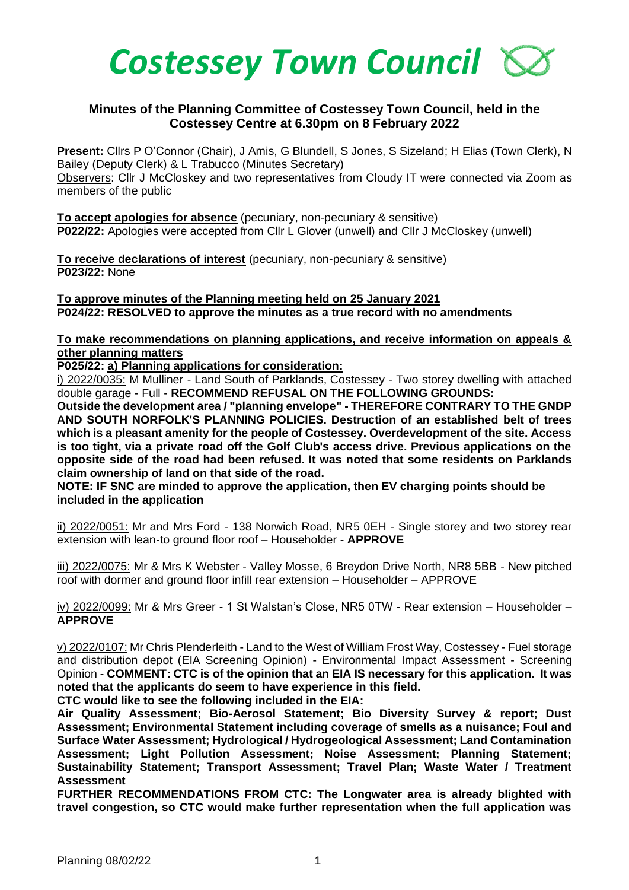

## **Minutes of the Planning Committee of Costessey Town Council, held in the Costessey Centre at 6.30pm on 8 February 2022**

**Present:** Cllrs P O'Connor (Chair), J Amis, G Blundell, S Jones, S Sizeland; H Elias (Town Clerk), N Bailey (Deputy Clerk) & L Trabucco (Minutes Secretary)

Observers: Cllr J McCloskey and two representatives from Cloudy IT were connected via Zoom as members of the public

**To accept apologies for absence** (pecuniary, non-pecuniary & sensitive) **P022/22:** Apologies were accepted from Cllr L Glover (unwell) and Cllr J McCloskey (unwell)

**To receive declarations of interest** (pecuniary, non-pecuniary & sensitive) **P023/22:** None

**To approve minutes of the Planning meeting held on 25 January 2021 P024/22: RESOLVED to approve the minutes as a true record with no amendments**

## **To make recommendations on planning applications, and receive information on appeals & other planning matters**

**P025/22: a) Planning applications for consideration:**

i) 2022/0035: M Mulliner - Land South of Parklands, Costessey - Two storey dwelling with attached double garage - Full - **RECOMMEND REFUSAL ON THE FOLLOWING GROUNDS:**

**Outside the development area / "planning envelope" - THEREFORE CONTRARY TO THE GNDP AND SOUTH NORFOLK'S PLANNING POLICIES. Destruction of an established belt of trees which is a pleasant amenity for the people of Costessey. Overdevelopment of the site. Access is too tight, via a private road off the Golf Club's access drive. Previous applications on the opposite side of the road had been refused. It was noted that some residents on Parklands claim ownership of land on that side of the road.**

**NOTE: IF SNC are minded to approve the application, then EV charging points should be included in the application**

ii) 2022/0051: Mr and Mrs Ford - 138 Norwich Road, NR5 0EH - Single storey and two storey rear extension with lean-to ground floor roof – Householder - **APPROVE**

iii) 2022/0075: Mr & Mrs K Webster - Valley Mosse, 6 Breydon Drive North, NR8 5BB - New pitched roof with dormer and ground floor infill rear extension – Householder – APPROVE

iv) 2022/0099: Mr & Mrs Greer - 1 St Walstan's Close, NR5 0TW - Rear extension – Householder – **APPROVE**

v) 2022/0107: Mr Chris Plenderleith - Land to the West of William Frost Way, Costessey - Fuel storage and distribution depot (EIA Screening Opinion) - Environmental Impact Assessment - Screening Opinion - **COMMENT: CTC is of the opinion that an EIA IS necessary for this application. It was noted that the applicants do seem to have experience in this field.** 

**CTC would like to see the following included in the EIA:**

**Air Quality Assessment; Bio-Aerosol Statement; Bio Diversity Survey & report; Dust Assessment; Environmental Statement including coverage of smells as a nuisance; Foul and Surface Water Assessment; Hydrological / Hydrogeological Assessment; Land Contamination Assessment; Light Pollution Assessment; Noise Assessment; Planning Statement; Sustainability Statement; Transport Assessment; Travel Plan; Waste Water / Treatment Assessment** 

**FURTHER RECOMMENDATIONS FROM CTC: The Longwater area is already blighted with travel congestion, so CTC would make further representation when the full application was**